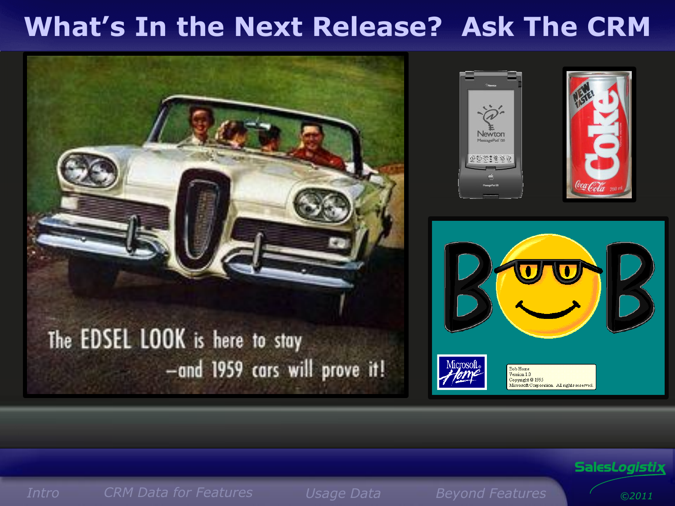### **What's In the Next Release? Ask The CRM**



#### Sales*Logistix*

<span id="page-0-0"></span>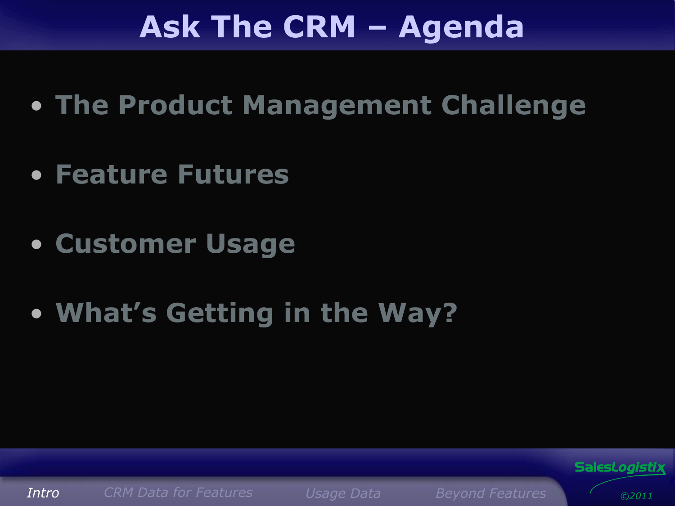## **Ask The CRM – Agenda**

- **The Product Management Challenge**
- **Feature Futures**
- **Customer Usage**
- **What's Getting in the Way?**



Sales*Logistix*

*©2011*

<span id="page-1-0"></span>*[Intro](#page-0-0) CRM [Data for Featur](#page-1-0)es [Usage](#page-2-0) Data Beyond Features*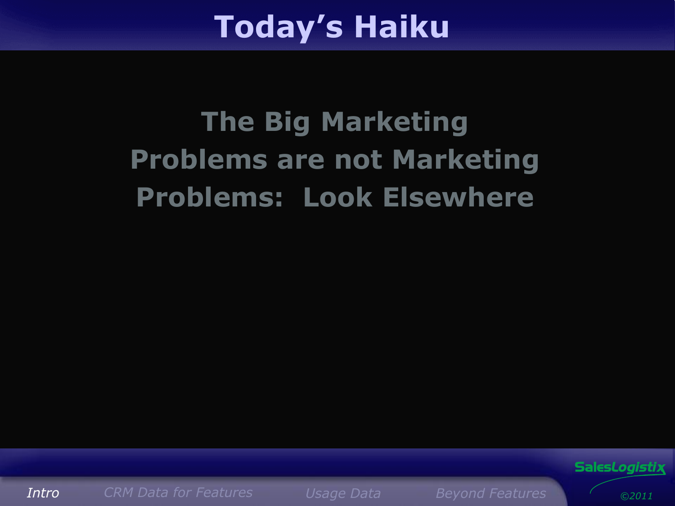## **Today's Haiku**

# **The Big Marketing Problems are not Marketing Problems: Look Elsewhere**



<span id="page-2-0"></span>*[Intro](#page-0-0) CRM [Data for Featur](#page-1-0)es [Usage](#page-2-0) Data Beyond Features*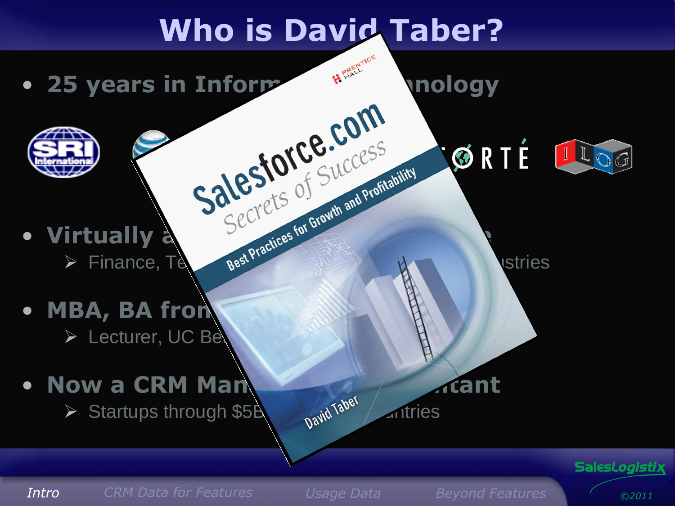# **Who is David Taber?**

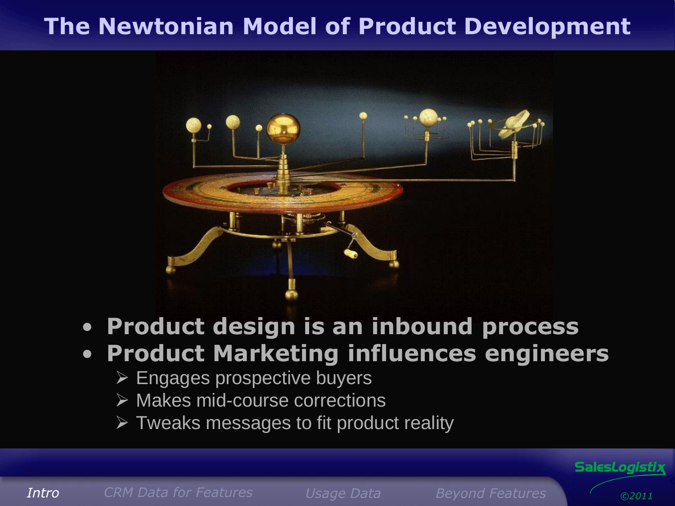#### **The Newtonian Model of Product Development**



#### • **Product design is an inbound process**

#### • **Product Marketing influences engineers**

- $\triangleright$  Engages prospective buyers
- $\triangleright$  Makes mid-course corrections
- $\triangleright$  Tweaks messages to fit product reality

*[Intro](#page-0-0) CRM [Data for Featur](#page-1-0)es [Usage](#page-2-0) Data Beyond Features*

*©2011*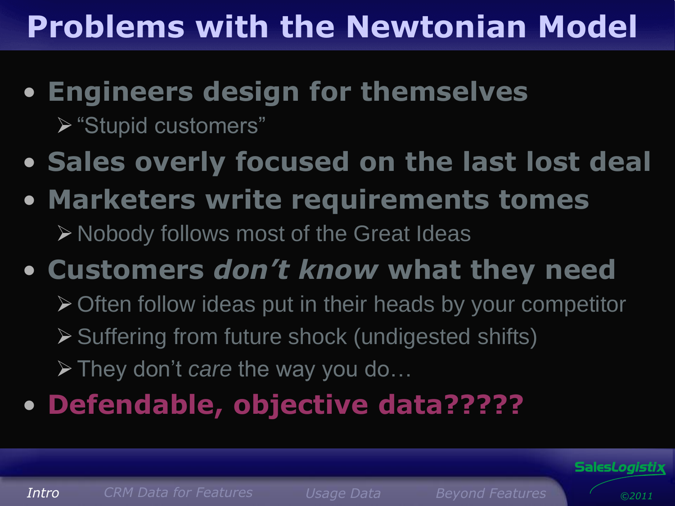# **Problems with the Newtonian Model**

• **Engineers design for themselves**

"Stupid customers"

- **Sales overly focused on the last lost deal**
- **Marketers write requirements tomes** Nobody follows most of the Great Ideas
- **Customers** *don't know* **what they need**
	- ▶ Often follow ideas put in their heads by your competitor
	- Suffering from future shock (undigested shifts)
	- They don't *care* the way you do…
- **Defendable, objective data?????**

*[Intro](#page-0-0) CRM [Data for Featur](#page-1-0)es [Usage](#page-2-0) Data Beyond Features*

Sales*Logistix*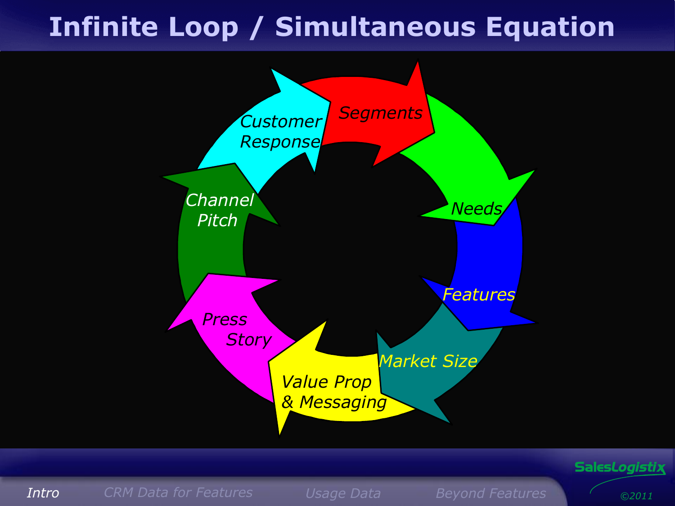### **Infinite Loop / Simultaneous Equation**



Sales*Logistix*

*[Intro](#page-0-0) CRM [Data for Featur](#page-1-0)es [Usage](#page-2-0) Data Beyond Features*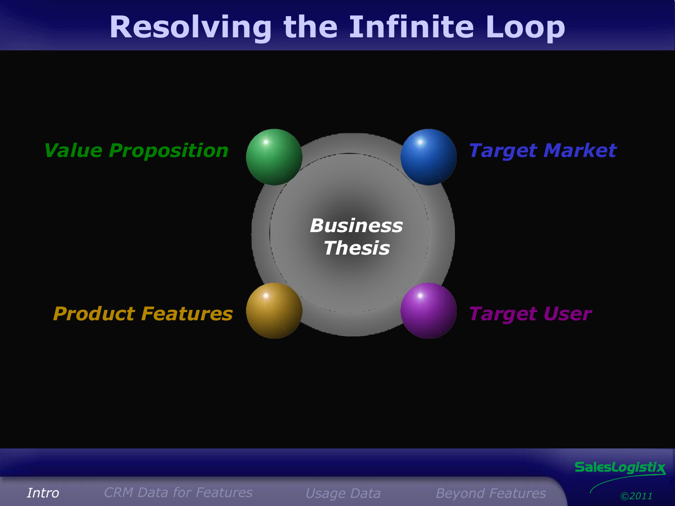# **Resolving the Infinite Loop**





*[Intro](#page-0-0) CRM [Data for Featur](#page-1-0)es [Usage](#page-2-0) Data Beyond Features*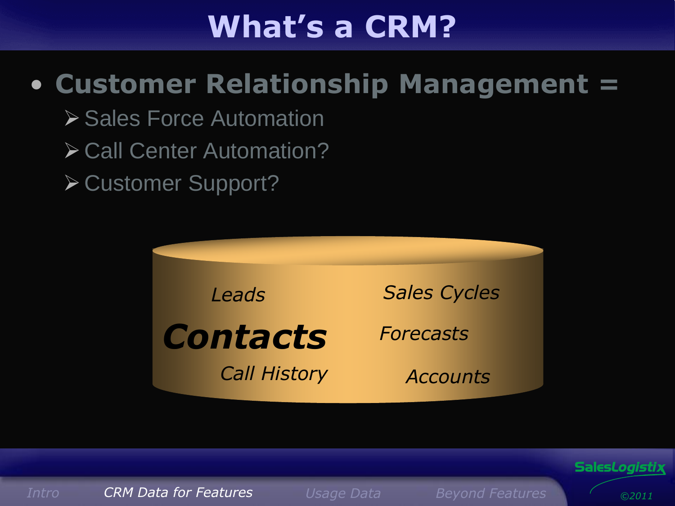# **What's a CRM?**

### • **Customer Relationship Management =**

- **≻ Sales Force Automation**
- **≻ Call Center Automation?**
- **≻ Customer Support?**





*[Intro](#page-0-0) CRM [Data for Featur](#page-1-0)es [Usage](#page-2-0) Data Beyond Features*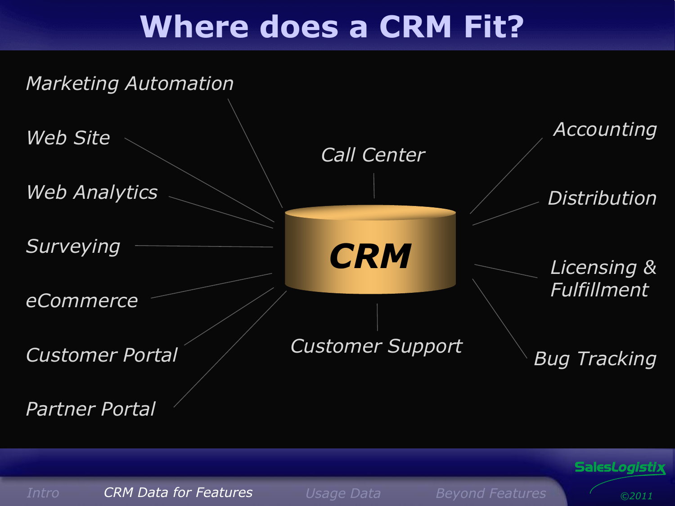### **Where does a CRM Fit?**



*[Intro](#page-0-0) CRM [Data for Featur](#page-1-0)es [Usage](#page-2-0) Data Beyond Features*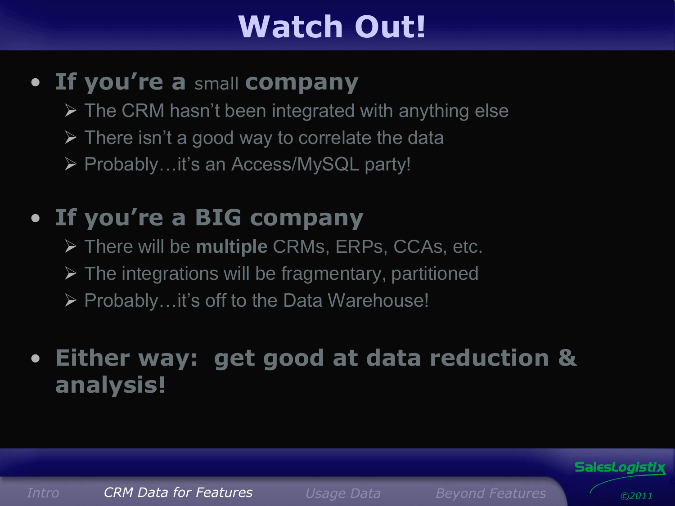# **Watch Out!**

#### • **If you're a** small **company**

- $\triangleright$  The CRM hasn't been integrated with anything else
- $\triangleright$  There isn't a good way to correlate the data
- Probably…it's an Access/MySQL party!

### • **If you're a BIG company**

- There will be **multiple** CRMs, ERPs, CCAs, etc.
- $\triangleright$  The integrations will be fragmentary, partitioned
- ▶ Probably...it's off to the Data Warehouse!

#### • **Either way: get good at data reduction & analysis!**

Sales*Logistix*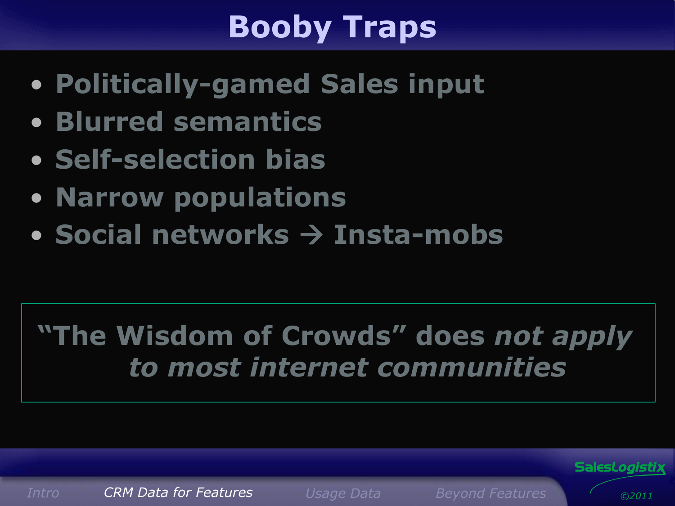# **Booby Traps**

- **Politically-gamed Sales input**
- **Blurred semantics**
- **Self-selection bias**
- **Narrow populations**
- **Social networks Insta-mobs**

### **"The Wisdom of Crowds" does** *not apply to most internet communities*

*[Intro](#page-0-0) CRM [Data for Featur](#page-1-0)es [Usage](#page-2-0) Data Beyond Features*

*©2011*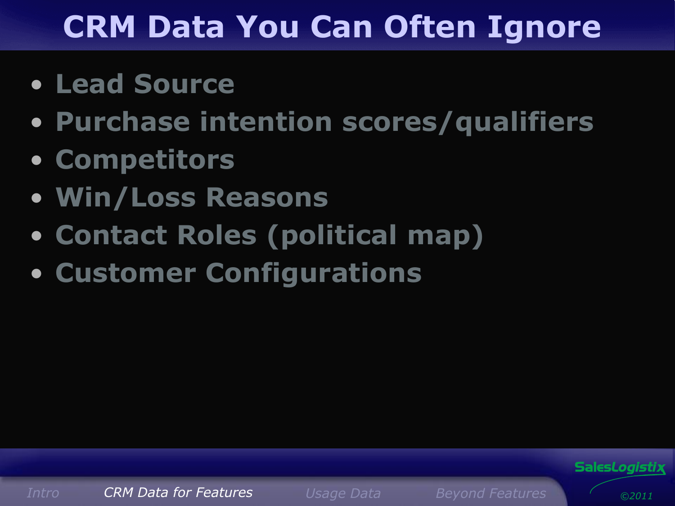# **CRM Data You Can Often Ignore**

- **Lead Source**
- **Purchase intention scores/qualifiers**
- **Competitors**
- **Win/Loss Reasons**
- **Contact Roles (political map)**
- **Customer Configurations**



*[Intro](#page-0-0) CRM [Data for Featur](#page-1-0)es [Usage](#page-2-0) Data Beyond Features*

*©2011*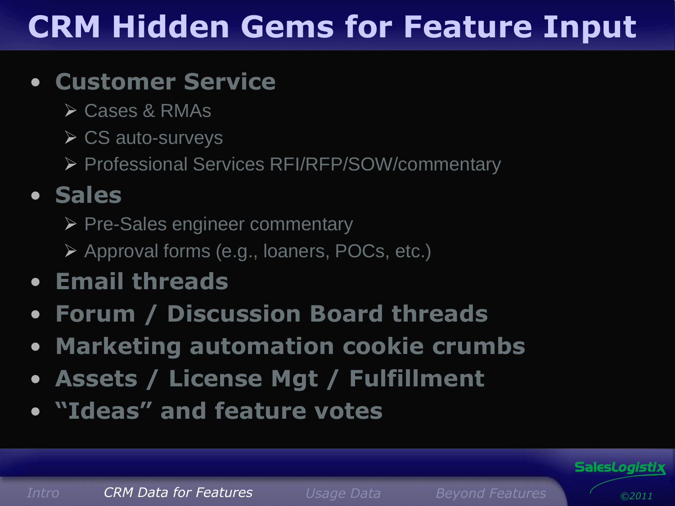# **CRM Hidden Gems for Feature Input**

#### • **Customer Service**

- Cases & RMAs
- $\triangleright$  CS auto-surveys
- Professional Services RFI/RFP/SOW/commentary

### • **Sales**

- ▶ Pre-Sales engineer commentary
- Approval forms (e.g., loaners, POCs, etc.)
- **Email threads**
- **Forum / Discussion Board threads**
- **Marketing automation cookie crumbs**
- **Assets / License Mgt / Fulfillment**
- **"Ideas" and feature votes**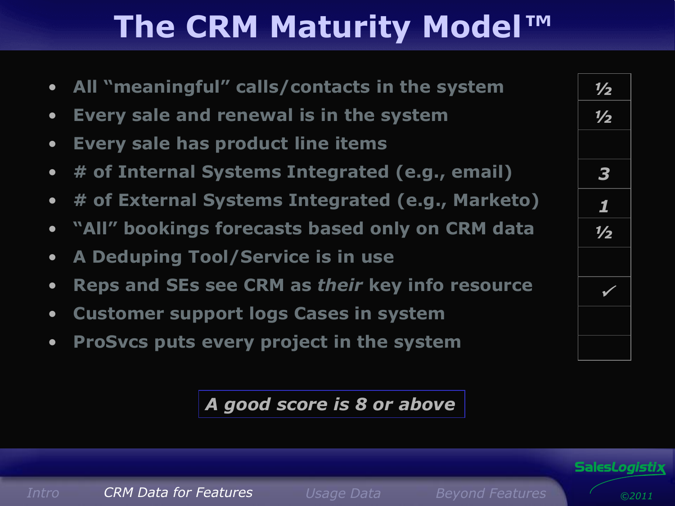# **The CRM Maturity Model***™*

- **All "meaningful" calls/contacts in the system**
- **Every sale and renewal is in the system**
- **Every sale has product line items**
- **# of Internal Systems Integrated (e.g., email)**
- **# of External Systems Integrated (e.g., Marketo)**
- **"All" bookings forecasts based only on CRM data**
- **A Deduping Tool/Service is in use**
- **Reps and SEs see CRM as** *their* **key info resource**

*[Intro](#page-0-0) CRM [Data for Featur](#page-1-0)es [Usage](#page-2-0) Data Beyond Features*

- **Customer support logs Cases in system**
- **ProSvcs puts every project in the system**

*A good score is 8 or above*



Sales*Logistix*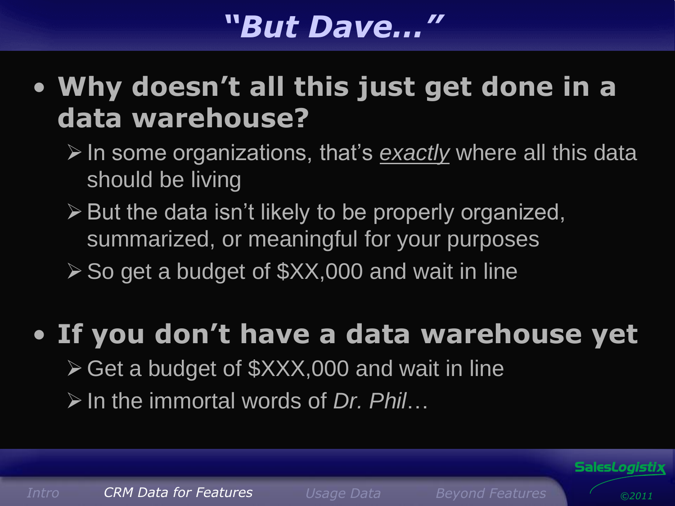### *"But Dave…"*

### • **Why doesn't all this just get done in a data warehouse?**

- In some organizations, that's *exactly* where all this data should be living
- $\triangleright$  But the data isn't likely to be properly organized, summarized, or meaningful for your purposes
- $\triangleright$  So get a budget of  $\frac{2}{3}$ XX,000 and wait in line

### • **If you don't have a data warehouse yet** Get a budget of \$XXX,000 and wait in line In the immortal words of *Dr. Phil*…

*[Intro](#page-0-0) CRM [Data for Featur](#page-1-0)es [Usage](#page-2-0) Data Beyond Features*

*©2011*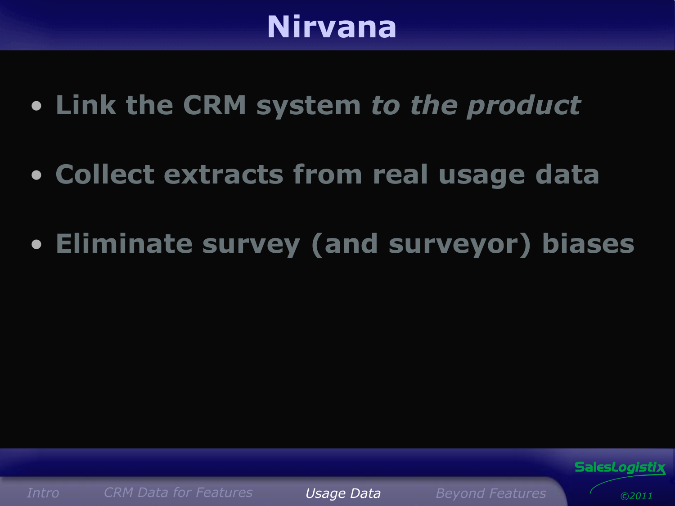### **Nirvana**

- **Link the CRM system** *to the product*
- **Collect extracts from real usage data**
- **Eliminate survey (and surveyor) biases**



*[Intro](#page-0-0) CRM [Data for Featur](#page-1-0)es [Usage](#page-2-0) Data Beyond Features*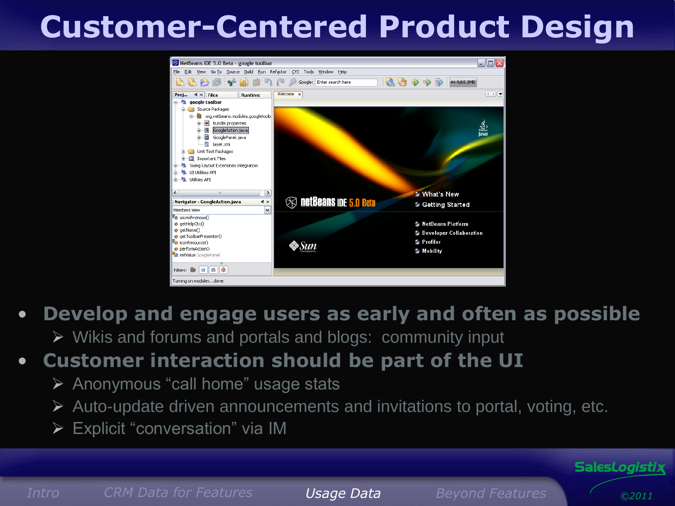# **Customer-Centered Product Design**



#### • **Develop and engage users as early and often as possible**

 $\triangleright$  Wikis and forums and portals and blogs: community input

#### • **Customer interaction should be part of the UI**

- $\triangleright$  Anonymous "call home" usage stats
- $\triangleright$  Auto-update driven announcements and invitations to portal, voting, etc.
- Explicit "conversation" via IM

*©2011*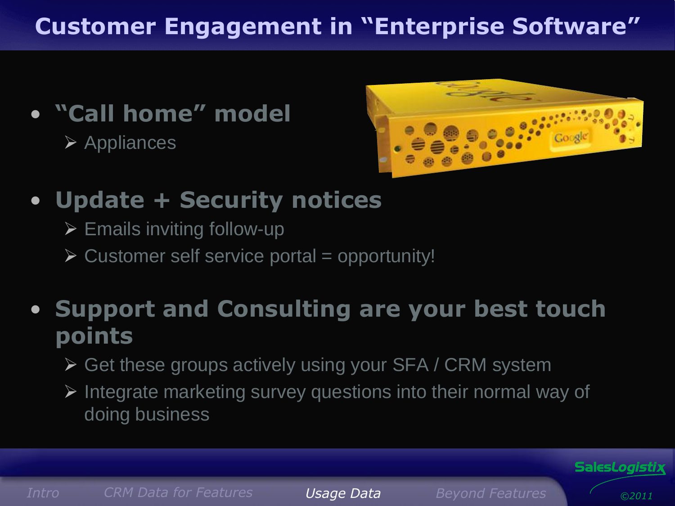### **Customer Engagement in "Enterprise Software"**

• **"Call home" model**  $\triangleright$  Appliances



- **Update + Security notices**
	- $\triangleright$  Emails inviting follow-up
	- $\triangleright$  Customer self service portal = opportunity!

### • **Support and Consulting are your best touch points**

- ▶ Get these groups actively using your SFA / CRM system
- $\triangleright$  Integrate marketing survey questions into their normal way of doing business

*[Intro](#page-0-0) CRM [Data for Featur](#page-1-0)es [Usage](#page-2-0) Data Beyond Features*

*©2011*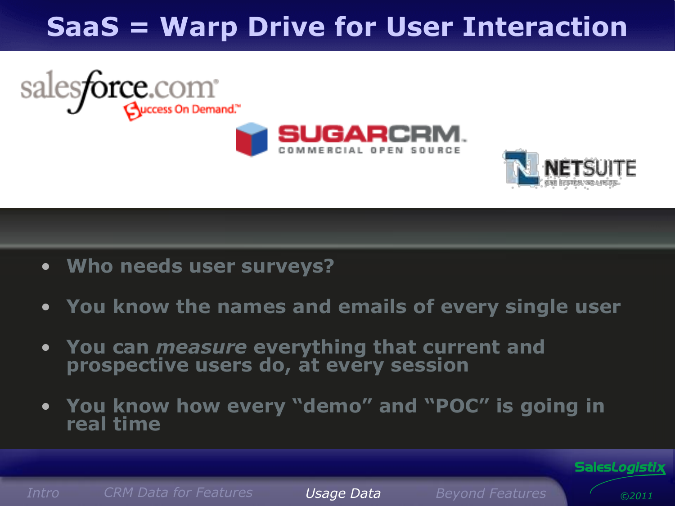### **SaaS = Warp Drive for User Interaction**





• **Who needs user surveys?**

salesforce.com<sup>\*</sup>

- **You know the names and emails of every single user**
- **You can** *measure* **everything that current and prospective users do, at every session**
- **You know how every "demo" and "POC" is going in real time**

*[Intro](#page-0-0) CRM [Data for Featur](#page-1-0)es [Usage](#page-2-0) Data Beyond Features*

*©2011*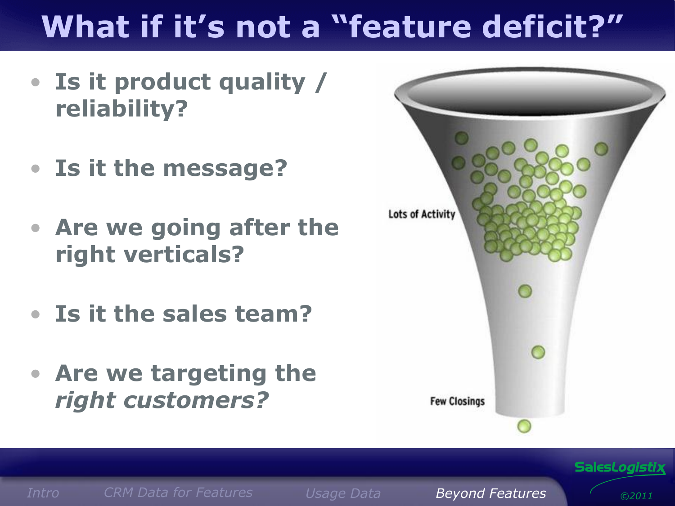# **What if it's not a "feature deficit?"**

- **Is it product quality / reliability?**
- **Is it the message?**
- **Are we going after the right verticals?**
- **Is it the sales team?**
- **Are we targeting the**  *right customers?*



*[Intro](#page-0-0) CRM [Data for Featur](#page-1-0)es [Usage](#page-2-0) Data Beyond Features*

*©2011*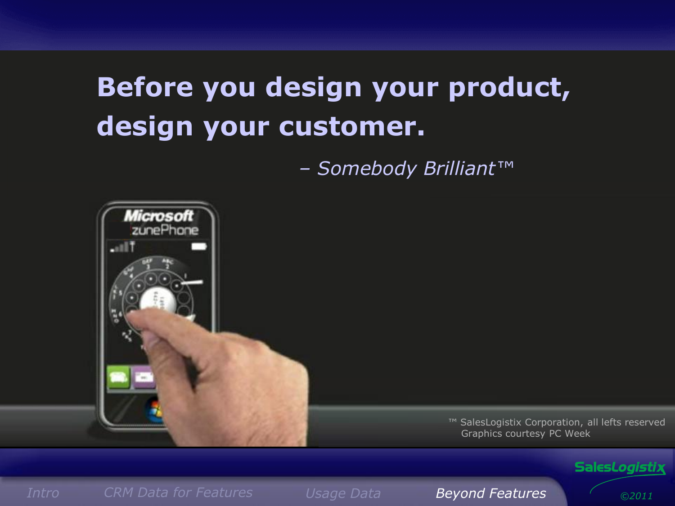### **Before you design your product, design your customer.**

*– Somebody Brilliant™*



#### Sales*Logistix*

*©2011*

*[Intro](#page-0-0) CRM [Data for Featur](#page-1-0)es [Usage](#page-2-0) Data Beyond Features*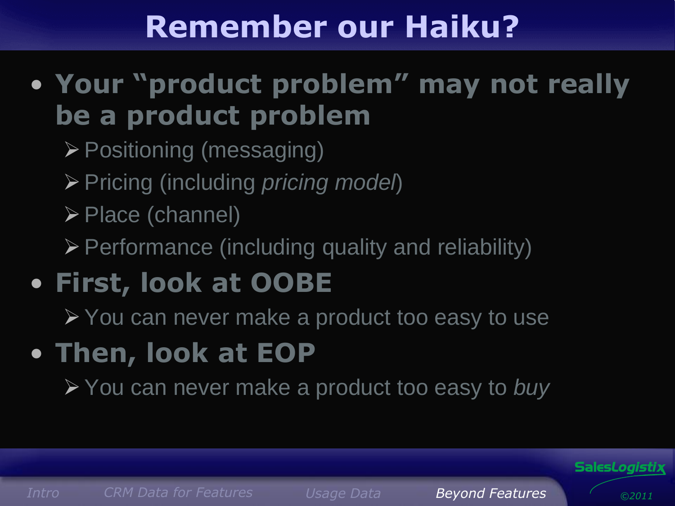# **Remember our Haiku?**

- **Your "product problem" may not really be a product problem**
	- Positioning (messaging)
	- Pricing (including *pricing model*)
	- $\triangleright$  Place (channel)
	- $\triangleright$  Performance (including quality and reliability)
- **First, look at OOBE**

▶ You can never make a product too easy to use

• **Then, look at EOP**

You can never make a product too easy to *buy*

*[Intro](#page-0-0) CRM [Data for Featur](#page-1-0)es [Usage](#page-2-0) Data Beyond Features*

Sales*Logistix*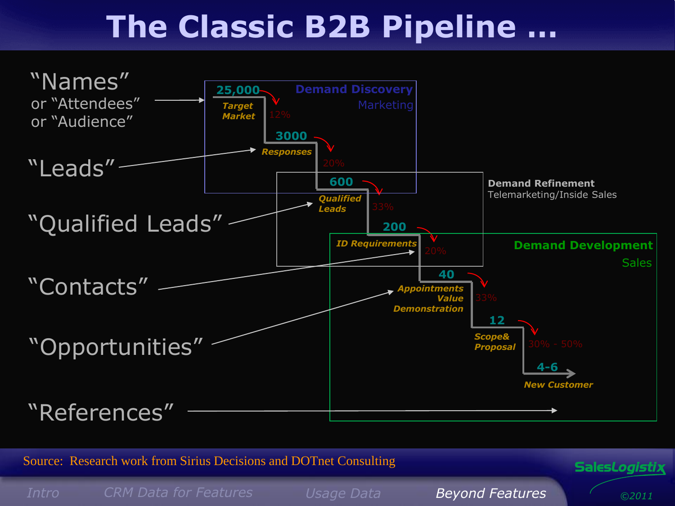# **The Classic B2B Pipeline …**



Source: Research work from Sirius Decisions and DOTnet Consulting

*[Intro](#page-0-0) CRM [Data for Featur](#page-1-0)es [Usage](#page-2-0) Data Beyond Features*

*©2011*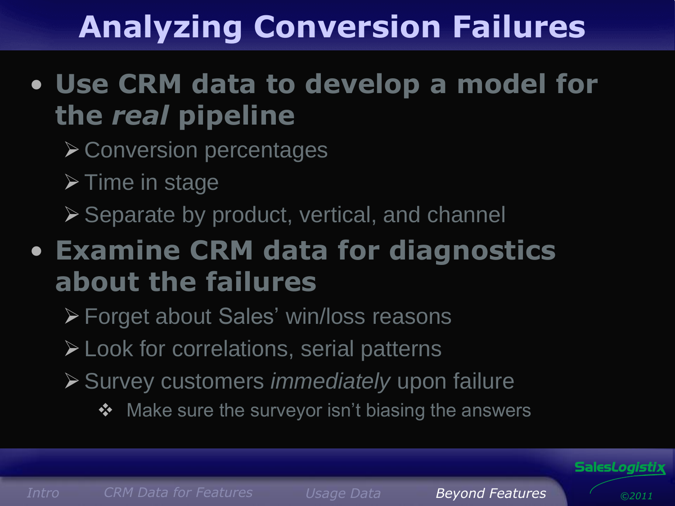# **Analyzing Conversion Failures**

### • **Use CRM data to develop a model for the** *real* **pipeline**

- **≻ Conversion percentages**
- $\triangleright$  Time in stage
- ▶ Separate by product, vertical, and channel

### • **Examine CRM data for diagnostics about the failures**

- Forget about Sales' win/loss reasons
- Look for correlations, serial patterns
- Survey customers *immediately* upon failure
	- ❖ Make sure the surveyor isn't biasing the answers



*[Intro](#page-0-0) CRM [Data for Featur](#page-1-0)es [Usage](#page-2-0) Data Beyond Features*

*©2011*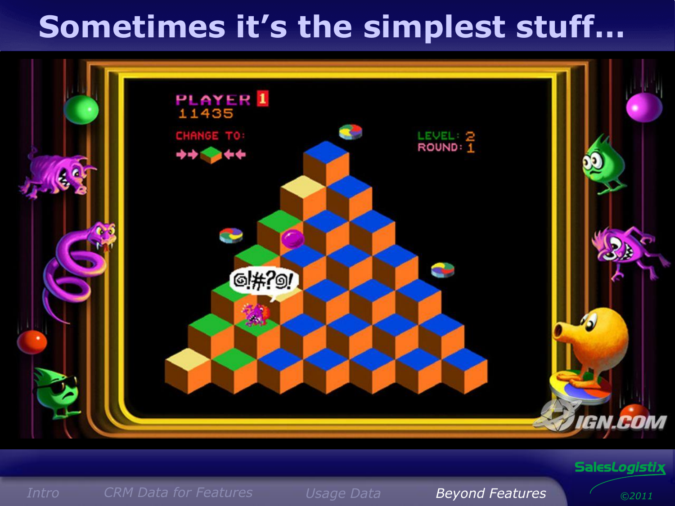# **Sometimes it's the simplest stuff…**



#### Sales*Logistix*

*[Intro](#page-0-0) CRM [Data for Featur](#page-1-0)es [Usage](#page-2-0) Data Beyond Features*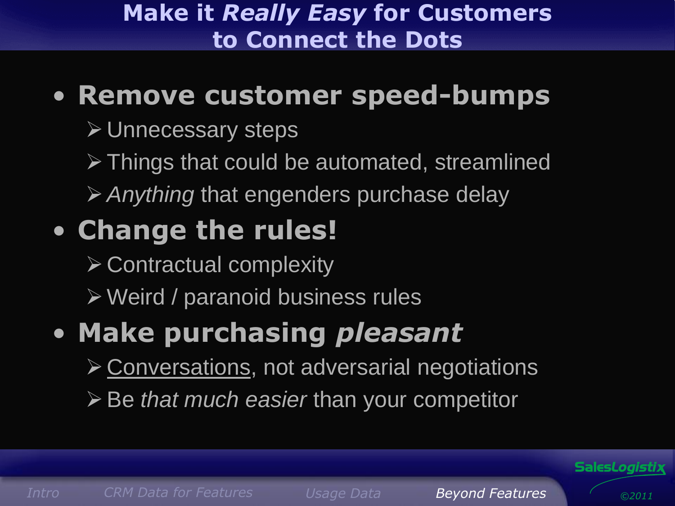#### **Make it** *Really Easy* **for Customers to Connect the Dots**

### • **Remove customer speed-bumps**

- **≻ Unnecessary steps**
- $\triangleright$  Things that could be automated, streamlined
- *Anything* that engenders purchase delay

### • **Change the rules!**

- $\triangleright$  Contractual complexity
- Weird / paranoid business rules

### • **Make purchasing** *pleasant*

- Conversations, not adversarial negotiations
- Be *that much easier* than your competitor



*[Intro](#page-0-0) CRM [Data for Featur](#page-1-0)es [Usage](#page-2-0) Data Beyond Features*

Sales*Logistix*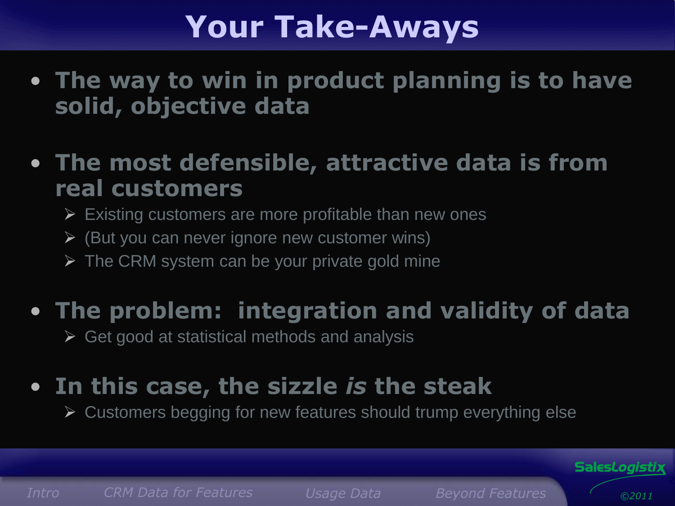# **Your Take-Aways**

- **The way to win in product planning is to have solid, objective data**
- **The most defensible, attractive data is from real customers**
	- $\triangleright$  Existing customers are more profitable than new ones
	- $\triangleright$  (But you can never ignore new customer wins)
	- $\triangleright$  The CRM system can be your private gold mine

### • **The problem: integration and validity of data**

 $\triangleright$  Get good at statistical methods and analysis

### • **In this case, the sizzle** *is* **the steak**

Customers begging for new features should trump everything else

*[Intro](#page-0-0) CRM [Data for Featur](#page-1-0)es [Usage](#page-2-0) Data Beyond Features*

*©2011*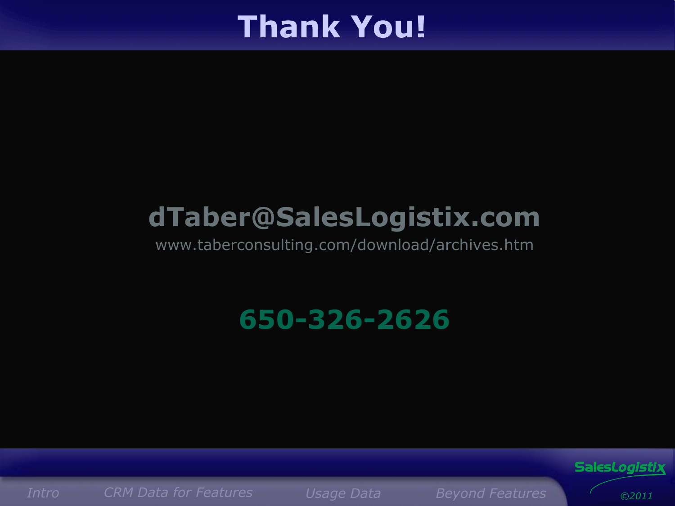### **Thank You!**

### **dTaber@SalesLogistix.com**

www.taberconsulting.com/download/archives.htm

**650-326-2626**

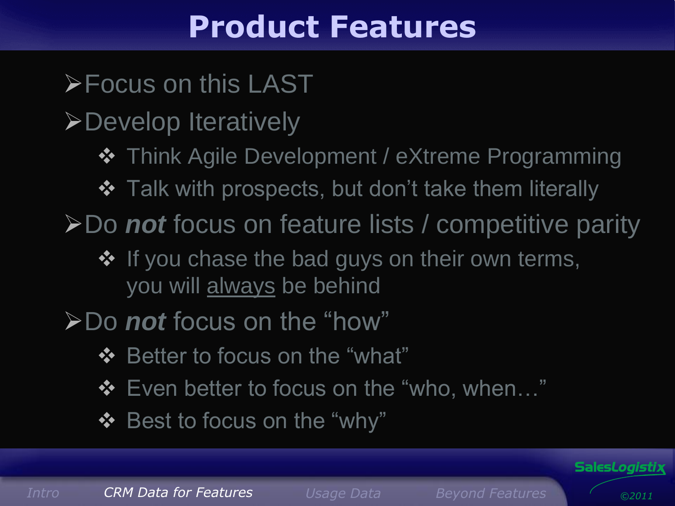### **Product Features**

**Focus on this LAST** 

**>Develop Iteratively** 

- $\div$  **Think Agile Development / eXtreme Programming**
- ❖ Talk with prospects, but don't take them literally

**≻Do not** focus on feature lists / competitive parity

- ❖ If you chase the bad guys on their own terms, you will always be behind
- Do *not* focus on the "how"
	- ❖ Better to focus on the "what"
	- ❖ Even better to focus on the "who, when..."
	- ❖ Best to focus on the "why"

Sales*Logistix*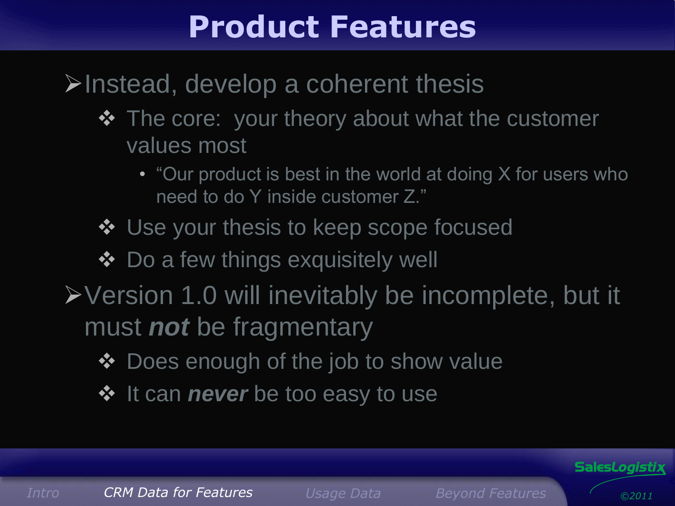### **Product Features**

### $\triangleright$ Instead, develop a coherent thesis

- $\div$  The core: your theory about what the customer values most
	- "Our product is best in the world at doing X for users who need to do Y inside customer Z."
- ❖ Use your thesis to keep scope focused
- ❖ Do a few things exquisitely well
- Version 1.0 will inevitably be incomplete, but it must *not* be fragmentary
	- ◆ Does enough of the job to show value
	- $\diamond$  **It can** *never* be too easy to use

*[Intro](#page-0-0) CRM [Data for Featur](#page-1-0)es [Usage](#page-2-0) Data Beyond Features*

Sales*Logistix*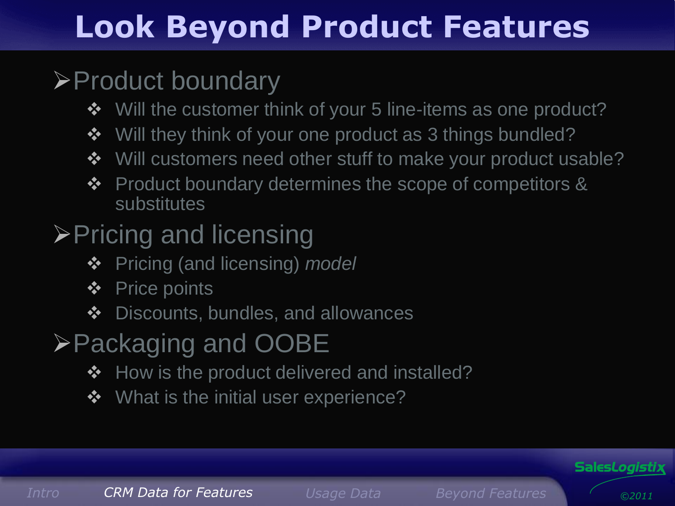# **Look Beyond Product Features**

### **≻Product boundary**

- $\triangle$  Will the customer think of your 5 line-items as one product?
- ❖ Will they think of your one product as 3 things bundled?
- ❖ Will customers need other stuff to make your product usable?
- Product boundary determines the scope of competitors & substitutes
- **≻Pricing and licensing** 
	- Pricing (and licensing) *model*
	- Price points
	- ❖ Discounts, bundles, and allowances
- Packaging and OOBE
	- ❖ How is the product delivered and installed?
	- ❖ What is the initial user experience?

Sales*Logistix*